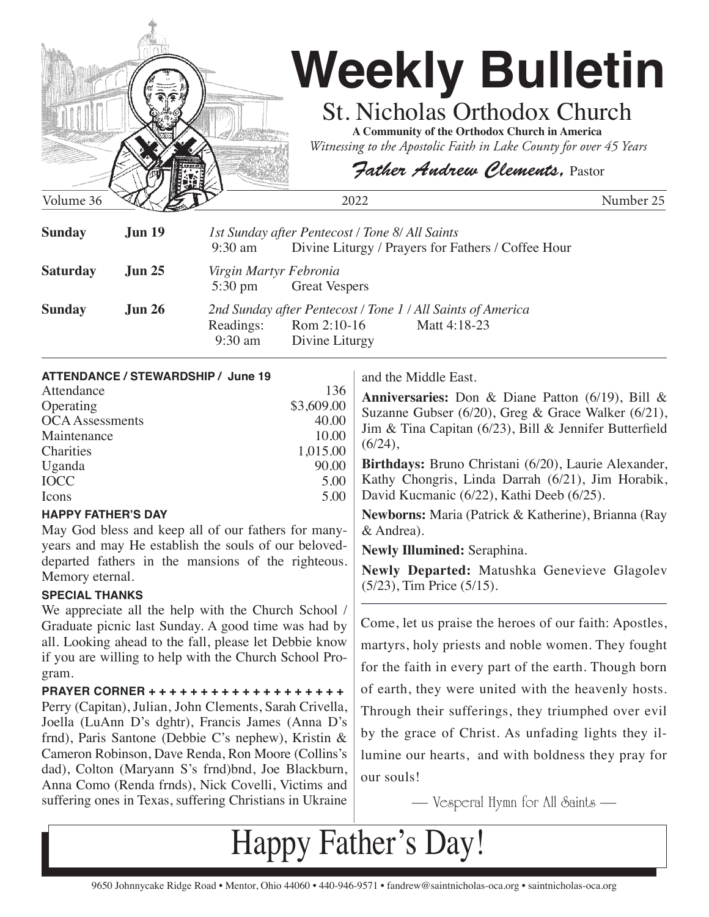

| <b>Sunday</b>   | <b>Jun 19</b> | 9:30 am                                     | 1st Sunday after Pentecost / Tone 8/ All Saints | Divine Liturgy / Prayers for Fathers / Coffee Hour                          |  |
|-----------------|---------------|---------------------------------------------|-------------------------------------------------|-----------------------------------------------------------------------------|--|
| <b>Saturday</b> | Jun 25        | Virgin Martyr Febronia<br>$5:30 \text{ pm}$ | <b>Great Vespers</b>                            |                                                                             |  |
| <b>Sunday</b>   | Jun 26        | Readings:<br>9:30 am                        | Rom 2:10-16<br>Divine Liturgy                   | 2nd Sunday after Pentecost / Tone 1 / All Saints of America<br>Matt 4:18-23 |  |

| Attendance             | 136        |
|------------------------|------------|
| Operating              | \$3,609.00 |
| <b>OCA</b> Assessments | 40.00      |
| Maintenance            | 10.00      |
| Charities              | 1,015.00   |
| Uganda                 | 90.00      |
| <b>IOCC</b>            | 5.00       |
| Icons                  | 5.00       |
|                        |            |

## **HAPPY FATHER'S DAY**

May God bless and keep all of our fathers for manyyears and may He establish the souls of our beloveddeparted fathers in the mansions of the righteous. Memory eternal.

## **SPECIAL THANKS**

We appreciate all the help with the Church School / Graduate picnic last Sunday. A good time was had by all. Looking ahead to the fall, please let Debbie know if you are willing to help with the Church School Program.

**PRAYER CORNER + + + + + + + + + + + + + + + + + + +**  Perry (Capitan), Julian, John Clements, Sarah Crivella, Joella (LuAnn D's dghtr), Francis James (Anna D's frnd), Paris Santone (Debbie C's nephew), Kristin & Cameron Robinson, Dave Renda, Ron Moore (Collins's dad), Colton (Maryann S's frnd)bnd, Joe Blackburn, Anna Como (Renda frnds), Nick Covelli, Victims and suffering ones in Texas, suffering Christians in Ukraine

and the Middle East.

**Anniversaries:** Don & Diane Patton (6/19), Bill & Suzanne Gubser (6/20), Greg & Grace Walker (6/21), Jim & Tina Capitan (6/23), Bill & Jennifer Butterfield  $(6/24),$ 

**Birthdays:** Bruno Christani (6/20), Laurie Alexander, Kathy Chongris, Linda Darrah (6/21), Jim Horabik, David Kucmanic (6/22), Kathi Deeb (6/25).

**Newborns:** Maria (Patrick & Katherine), Brianna (Ray & Andrea).

**Newly Illumined:** Seraphina.

**Newly Departed:** Matushka Genevieve Glagolev (5/23), Tim Price (5/15).

Come, let us praise the heroes of our faith: Apostles, martyrs, holy priests and noble women. They fought for the faith in every part of the earth. Though born of earth, they were united with the heavenly hosts. Through their sufferings, they triumphed over evil by the grace of Christ. As unfading lights they illumine our hearts, and with boldness they pray for our souls!

— Vesperal Hymn for All Saints —

Happy Father's Day!